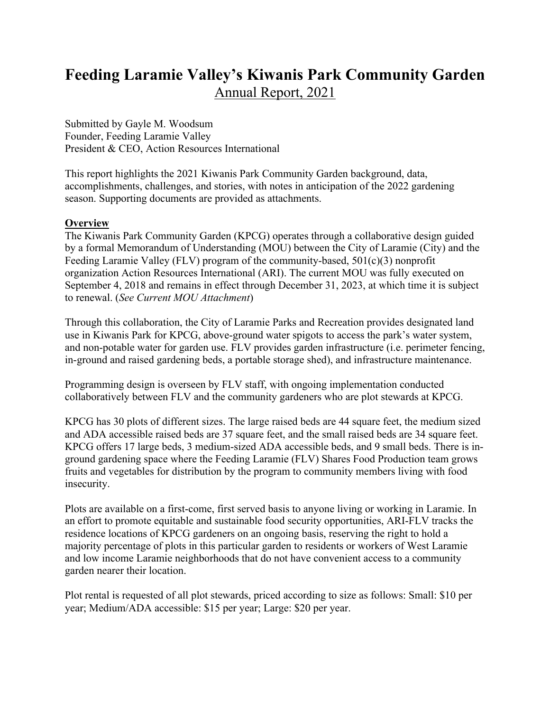# **Feeding Laramie Valley's Kiwanis Park Community Garden** Annual Report, 2021

Submitted by Gayle M. Woodsum Founder, Feeding Laramie Valley President & CEO, Action Resources International

This report highlights the 2021 Kiwanis Park Community Garden background, data, accomplishments, challenges, and stories, with notes in anticipation of the 2022 gardening season. Supporting documents are provided as attachments.

#### **Overview**

The Kiwanis Park Community Garden (KPCG) operates through a collaborative design guided by a formal Memorandum of Understanding (MOU) between the City of Laramie (City) and the Feeding Laramie Valley (FLV) program of the community-based, 501(c)(3) nonprofit organization Action Resources International (ARI). The current MOU was fully executed on September 4, 2018 and remains in effect through December 31, 2023, at which time it is subject to renewal. (*See Current MOU Attachment*)

Through this collaboration, the City of Laramie Parks and Recreation provides designated land use in Kiwanis Park for KPCG, above-ground water spigots to access the park's water system, and non-potable water for garden use. FLV provides garden infrastructure (i.e. perimeter fencing, in-ground and raised gardening beds, a portable storage shed), and infrastructure maintenance.

Programming design is overseen by FLV staff, with ongoing implementation conducted collaboratively between FLV and the community gardeners who are plot stewards at KPCG.

KPCG has 30 plots of different sizes. The large raised beds are 44 square feet, the medium sized and ADA accessible raised beds are 37 square feet, and the small raised beds are 34 square feet. KPCG offers 17 large beds, 3 medium-sized ADA accessible beds, and 9 small beds. There is inground gardening space where the Feeding Laramie (FLV) Shares Food Production team grows fruits and vegetables for distribution by the program to community members living with food insecurity.

Plots are available on a first-come, first served basis to anyone living or working in Laramie. In an effort to promote equitable and sustainable food security opportunities, ARI-FLV tracks the residence locations of KPCG gardeners on an ongoing basis, reserving the right to hold a majority percentage of plots in this particular garden to residents or workers of West Laramie and low income Laramie neighborhoods that do not have convenient access to a community garden nearer their location.

Plot rental is requested of all plot stewards, priced according to size as follows: Small: \$10 per year; Medium/ADA accessible: \$15 per year; Large: \$20 per year.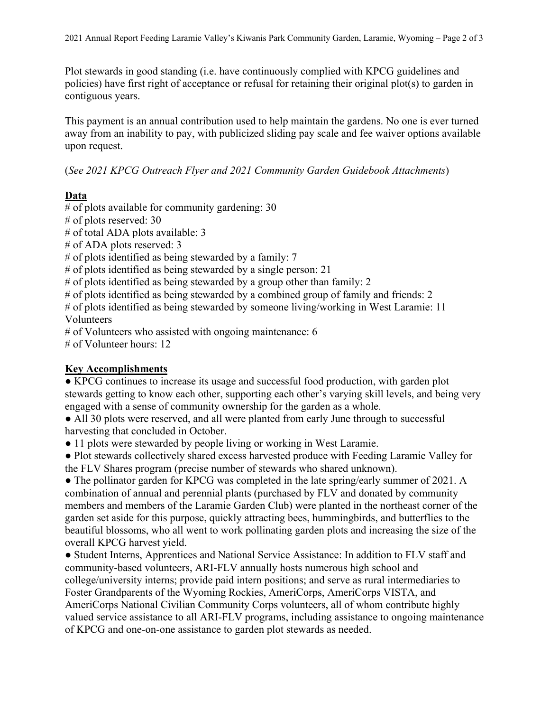Plot stewards in good standing (i.e. have continuously complied with KPCG guidelines and policies) have first right of acceptance or refusal for retaining their original plot(s) to garden in contiguous years.

This payment is an annual contribution used to help maintain the gardens. No one is ever turned away from an inability to pay, with publicized sliding pay scale and fee waiver options available upon request.

(*See 2021 KPCG Outreach Flyer and 2021 Community Garden Guidebook Attachments*)

## **Data**

 $#$  of plots available for community gardening: 30 # of plots reserved: 30 # of total ADA plots available: 3 # of ADA plots reserved: 3 # of plots identified as being stewarded by a family: 7 # of plots identified as being stewarded by a single person: 21  $#$  of plots identified as being stewarded by a group other than family: 2 # of plots identified as being stewarded by a combined group of family and friends: 2 # of plots identified as being stewarded by someone living/working in West Laramie: 11 Volunteers # of Volunteers who assisted with ongoing maintenance: 6 # of Volunteer hours: 12

### **Key Accomplishments**

• KPCG continues to increase its usage and successful food production, with garden plot stewards getting to know each other, supporting each other's varying skill levels, and being very engaged with a sense of community ownership for the garden as a whole.

• All 30 plots were reserved, and all were planted from early June through to successful harvesting that concluded in October.

• 11 plots were stewarded by people living or working in West Laramie.

● Plot stewards collectively shared excess harvested produce with Feeding Laramie Valley for the FLV Shares program (precise number of stewards who shared unknown).

• The pollinator garden for KPCG was completed in the late spring/early summer of 2021. A combination of annual and perennial plants (purchased by FLV and donated by community members and members of the Laramie Garden Club) were planted in the northeast corner of the garden set aside for this purpose, quickly attracting bees, hummingbirds, and butterflies to the beautiful blossoms, who all went to work pollinating garden plots and increasing the size of the overall KPCG harvest yield.

● Student Interns, Apprentices and National Service Assistance: In addition to FLV staff and community-based volunteers, ARI-FLV annually hosts numerous high school and college/university interns; provide paid intern positions; and serve as rural intermediaries to Foster Grandparents of the Wyoming Rockies, AmeriCorps, AmeriCorps VISTA, and AmeriCorps National Civilian Community Corps volunteers, all of whom contribute highly valued service assistance to all ARI-FLV programs, including assistance to ongoing maintenance of KPCG and one-on-one assistance to garden plot stewards as needed.